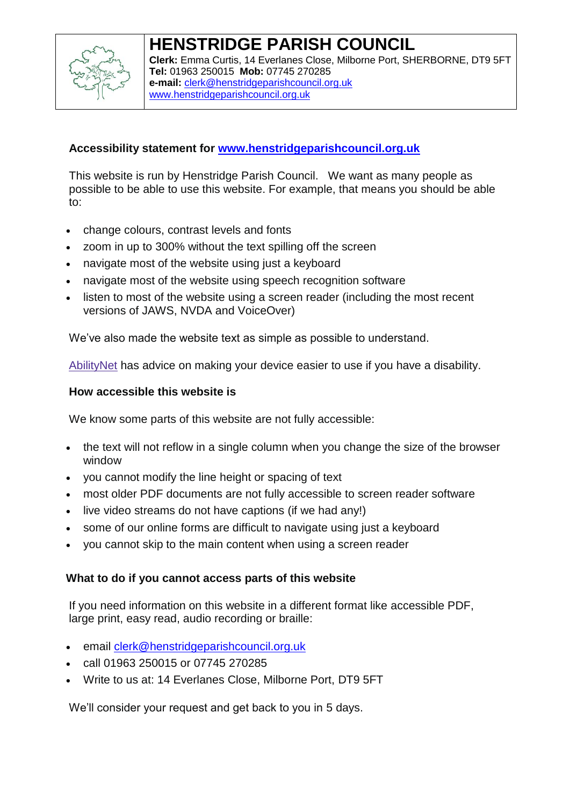

#### **HENSTRIDGE PARISH COUNCIL Clerk:** Emma Curtis, 14 Everlanes Close, Milborne Port, SHERBORNE, DT9 5FT **Tel:** 01963 250015 **Mob:** 07745 270285 **e-mail:** [clerk@henstridgeparishcouncil.org.uk](mailto:clerk@henstridgeparishcouncil.org.uk) [www.henstridgeparishcouncil.org.uk](http://www.henstridgeparishcouncil.org.uk/)

# **Accessibility statement for [www.henstridgeparishcouncil.org.uk](http://www.henstridgeparishcouncil.org.uk/)**

This website is run by Henstridge Parish Council. We want as many people as possible to be able to use this website. For example, that means you should be able to:

- change colours, contrast levels and fonts
- zoom in up to 300% without the text spilling off the screen
- navigate most of the website using just a keyboard
- navigate most of the website using speech recognition software
- listen to most of the website using a screen reader (including the most recent versions of JAWS, NVDA and VoiceOver)

We've also made the website text as simple as possible to understand.

[AbilityNet](https://mcmw.abilitynet.org.uk/) has advice on making your device easier to use if you have a disability.

## **How accessible this website is**

We know some parts of this website are not fully accessible:

- the text will not reflow in a single column when you change the size of the browser window
- you cannot modify the line height or spacing of text
- most older PDF documents are not fully accessible to screen reader software
- live video streams do not have captions (if we had any!)
- some of our online forms are difficult to navigate using just a keyboard
- you cannot skip to the main content when using a screen reader

## **What to do if you cannot access parts of this website**

If you need information on this website in a different format like accessible PDF, large print, easy read, audio recording or braille:

- email [clerk@henstridgeparishcouncil.org.uk](mailto:clerk@henstridgeparishcouncil.org.uk)
- call 01963 250015 or 07745 270285
- Write to us at: 14 Everlanes Close, Milborne Port, DT9 5FT

We'll consider your request and get back to you in 5 days.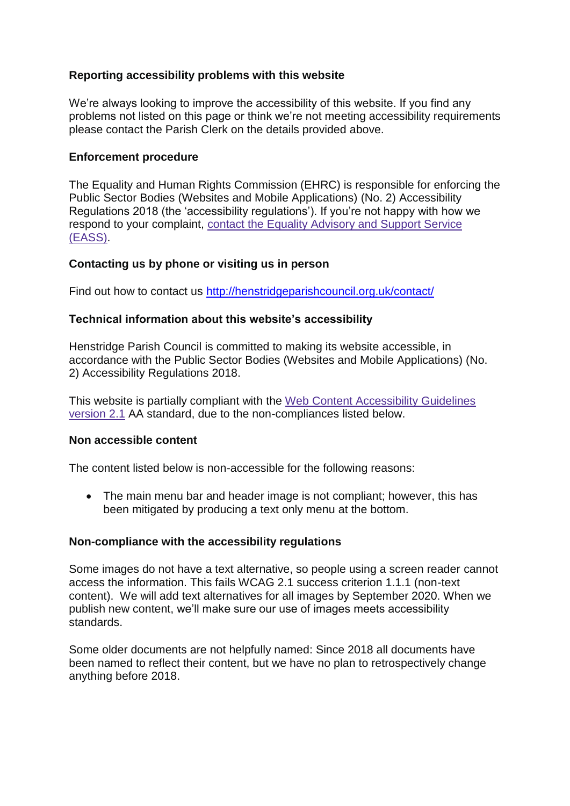## **Reporting accessibility problems with this website**

We're always looking to improve the accessibility of this website. If you find any problems not listed on this page or think we're not meeting accessibility requirements please contact the Parish Clerk on the details provided above.

#### **Enforcement procedure**

The Equality and Human Rights Commission (EHRC) is responsible for enforcing the Public Sector Bodies (Websites and Mobile Applications) (No. 2) Accessibility Regulations 2018 (the 'accessibility regulations'). If you're not happy with how we respond to your complaint, contact the Equality [Advisory](https://www.equalityadvisoryservice.com/) and Support Service [\(EASS\).](https://www.equalityadvisoryservice.com/)

### **Contacting us by phone or visiting us in person**

Find out how to contact us<http://henstridgeparishcouncil.org.uk/contact/>

### **Technical information about this website's accessibility**

Henstridge Parish Council is committed to making its website accessible, in accordance with the Public Sector Bodies (Websites and Mobile Applications) (No. 2) Accessibility Regulations 2018.

This website is partially compliant with the Web Content [Accessibility](https://www.w3.org/TR/WCAG21/) Guidelines [version](https://www.w3.org/TR/WCAG21/) 2.1 AA standard, due to the non-compliances listed below.

#### **Non accessible content**

The content listed below is non-accessible for the following reasons:

• The main menu bar and header image is not compliant; however, this has been mitigated by producing a text only menu at the bottom.

### **Non-compliance with the accessibility regulations**

Some images do not have a text alternative, so people using a screen reader cannot access the information. This fails WCAG 2.1 success criterion 1.1.1 (non-text content). We will add text alternatives for all images by September 2020. When we publish new content, we'll make sure our use of images meets accessibility standards.

Some older documents are not helpfully named: Since 2018 all documents have been named to reflect their content, but we have no plan to retrospectively change anything before 2018.